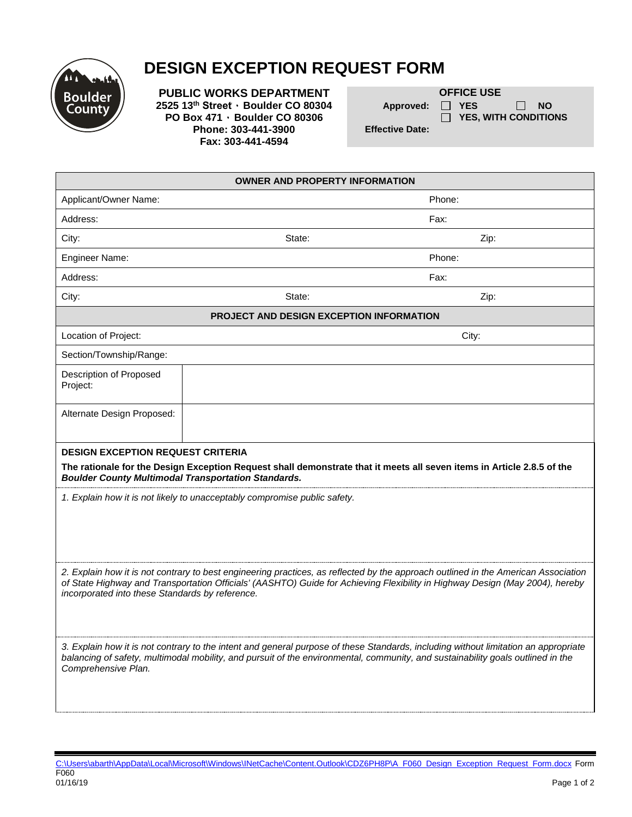

## **DESIGN EXCEPTION REQUEST FORM**

**PUBLIC WORKS DEPARTMENT**<br>2525 13<sup>th</sup> Street · Boulder CO 80304 **DEPARTMENT** Approved:  $\Box$  YES **2525 13<sup>th</sup> Street ⋅ Boulder CO 80304 Approved:**  $\Box$  YES  $\Box$  NO<br>**PO Box 471 ⋅ Boulder CO 80306**  $\Box$  YES, WITH CONDITIONS **PO Box 471 · Boulder CO 80306**<br>**Phone: 303-441-3900 Phone: 303-441-3900 Phone: 303-441-3900 Fax: 303-441-4594**

| <b>OWNER AND PROPERTY INFORMATION</b>                                                                                                                                                                                                                                                                                                                                                                                                                                                                                                                                                                                  |        |        |  |  |
|------------------------------------------------------------------------------------------------------------------------------------------------------------------------------------------------------------------------------------------------------------------------------------------------------------------------------------------------------------------------------------------------------------------------------------------------------------------------------------------------------------------------------------------------------------------------------------------------------------------------|--------|--------|--|--|
| Applicant/Owner Name:                                                                                                                                                                                                                                                                                                                                                                                                                                                                                                                                                                                                  |        | Phone: |  |  |
| Address:                                                                                                                                                                                                                                                                                                                                                                                                                                                                                                                                                                                                               |        | Fax:   |  |  |
| City:                                                                                                                                                                                                                                                                                                                                                                                                                                                                                                                                                                                                                  | State: | Zip:   |  |  |
| Engineer Name:                                                                                                                                                                                                                                                                                                                                                                                                                                                                                                                                                                                                         |        | Phone: |  |  |
| Address:                                                                                                                                                                                                                                                                                                                                                                                                                                                                                                                                                                                                               |        | Fax:   |  |  |
| City:                                                                                                                                                                                                                                                                                                                                                                                                                                                                                                                                                                                                                  | State: | Zip:   |  |  |
| <b>PROJECT AND DESIGN EXCEPTION INFORMATION</b>                                                                                                                                                                                                                                                                                                                                                                                                                                                                                                                                                                        |        |        |  |  |
| Location of Project:                                                                                                                                                                                                                                                                                                                                                                                                                                                                                                                                                                                                   |        | City:  |  |  |
| Section/Township/Range:                                                                                                                                                                                                                                                                                                                                                                                                                                                                                                                                                                                                |        |        |  |  |
| Description of Proposed<br>Project:                                                                                                                                                                                                                                                                                                                                                                                                                                                                                                                                                                                    |        |        |  |  |
| Alternate Design Proposed:                                                                                                                                                                                                                                                                                                                                                                                                                                                                                                                                                                                             |        |        |  |  |
| <b>DESIGN EXCEPTION REQUEST CRITERIA</b><br>The rationale for the Design Exception Request shall demonstrate that it meets all seven items in Article 2.8.5 of the<br><b>Boulder County Multimodal Transportation Standards.</b><br>1. Explain how it is not likely to unacceptably compromise public safety.                                                                                                                                                                                                                                                                                                          |        |        |  |  |
| 2. Explain how it is not contrary to best engineering practices, as reflected by the approach outlined in the American Association<br>of State Highway and Transportation Officials' (AASHTO) Guide for Achieving Flexibility in Highway Design (May 2004), hereby<br>incorporated into these Standards by reference.<br>3. Explain how it is not contrary to the intent and general purpose of these Standards, including without limitation an appropriate<br>balancing of safety, multimodal mobility, and pursuit of the environmental, community, and sustainability goals outlined in the<br>Comprehensive Plan. |        |        |  |  |

[C:\Users\abarth\AppData\Local\Microsoft\Windows\INetCache\Content.Outlook\CDZ6PH8P\A\\_F060\\_Design\\_Exception\\_Request\\_Form.docx](file://crtfs01/td/tdshared/ENGINEERING/PDG/Forms/A_F060_Design_Exception_Request_Form.docx) Form F060<br>01/16/19 01/16/19 Page 1 of 2